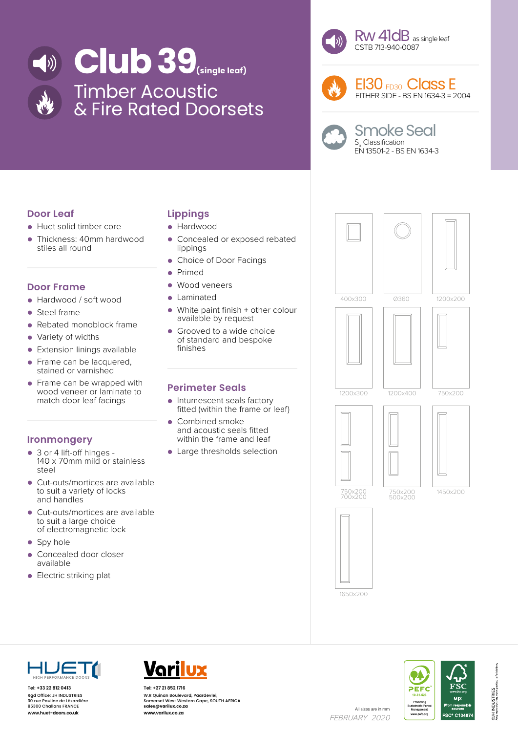



Rw 41dB as single leaf CSTB 713-940-0087



EI30 FD30 Class E EITHER SIDE - BS EN 1634-3 = 2004

|--|

### Smoke Seal S<sub>a</sub> Classification EN 13501-2 - BS EN 1634-3

# **Door Leaf**

- Huet solid timber core<br>• Thickness: 40mm hard
- Thickness: 40mm hardwood stiles all round

## **Door Frame**

- Hardwood / soft wood<br>• Steel frame
- Steel frame<br>• Rebated mo
- Rebated monoblock frame
- Variety of widths
- Extension linings available
- Frame can be lacquered. stained or varnished
- Frame can be wrapped with wood veneer or laminate to match door leaf facings

## **Ironmongery**

- 3 or 4 lift-off hinges 140 x 70mm mild or stainless steel
- Cut-outs/mortices are available to suit a variety of locks and handles
- Cut-outs/mortices are available to suit a large choice of electromagnetic lock
- Spy hole
- Concealed door closer available
- Electric striking plat

# **Lippings**

- Hardwood
- Concealed or exposed rebated lippings
- Choice of Door Facings
- Primed
- Wood veneers
- Laminated
- White paint finish + other colour available by request
- Grooved to a wide choice of standard and bespoke finishes

# **Perimeter Seals**

- Intumescent seals factory fitted (within the frame or leaf)
- Combined smoke and acoustic seals fitted within the frame and leaf
- Large thresholds selection







**Tel: +33 22 812 0413** Rgd Office: JH INDUSTRIES 30 rue Pauline de Lézardière 85300 Challans FRANCE



All sizes are in mm<br>**www.huet-doors.co.uk www.varilux.co.za** All sizes are in mm **Tel: +27 21 852 1716** W.R Quinan Boulevard, Paardevlei, Somerset West Western Cape, SOUTH AFRICA **sales@varilux.co.za www.varilux.co.za**

FEBRUARY 2020